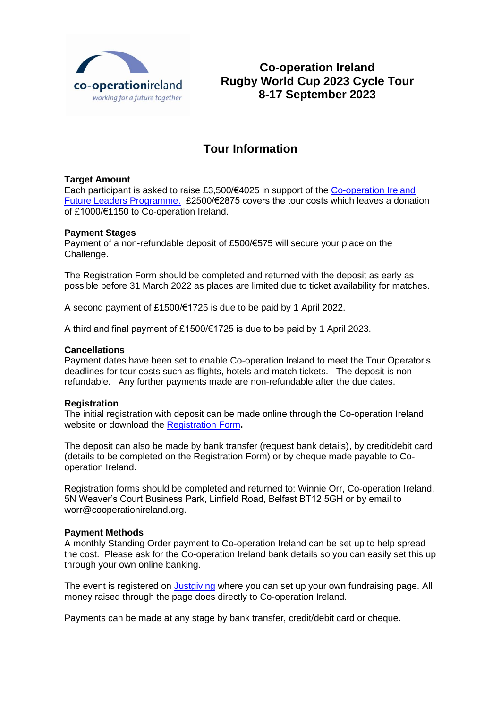

**Co-operation Ireland Rugby World Cup 2023 Cycle Tour 8-17 September 2023**

# **Tour Information**

## **Target Amount**

Each participant is asked to raise £3,500/€4025 in support of the [Co-operation Ireland](https://cooperationireland.org/projects/future-leaders-programme/)  [Future Leaders Programme.](https://cooperationireland.org/projects/future-leaders-programme/) £2500/€2875 covers the tour costs which leaves a donation of £1000/€1150 to Co-operation Ireland.

## **Payment Stages**

Payment of a non-refundable deposit of £500/€575 will secure your place on the Challenge.

The Registration Form should be completed and returned with the deposit as early as possible before 31 March 2022 as places are limited due to ticket availability for matches.

A second payment of £1500/€1725 is due to be paid by 1 April 2022.

A third and final payment of £1500/€1725 is due to be paid by 1 April 2023.

## **Cancellations**

Payment dates have been set to enable Co-operation Ireland to meet the Tour Operator's deadlines for tour costs such as flights, hotels and match tickets. The deposit is nonrefundable. Any further payments made are non-refundable after the due dates.

## **Registration**

The initial registration with deposit can be made online through the Co-operation Ireland website or download the [Registration Form](https://cooperationireland.org/content/uploads/2021/08/Registration-Form.pdf)**.**

The deposit can also be made by bank transfer (request bank details), by credit/debit card (details to be completed on the Registration Form) or by cheque made payable to Cooperation Ireland.

Registration forms should be completed and returned to: Winnie Orr, Co-operation Ireland, 5N Weaver's Court Business Park, Linfield Road, Belfast BT12 5GH or by email to worr@cooperationireland.org.

## **Payment Methods**

A monthly Standing Order payment to Co-operation Ireland can be set up to help spread the cost. Please ask for the Co-operation Ireland bank details so you can easily set this up through your own online banking.

The event is registered on [Justgiving](https://www.justgiving.com/) where you can set up your own fundraising page. All money raised through the page does directly to Co-operation Ireland.

Payments can be made at any stage by bank transfer, credit/debit card or cheque.